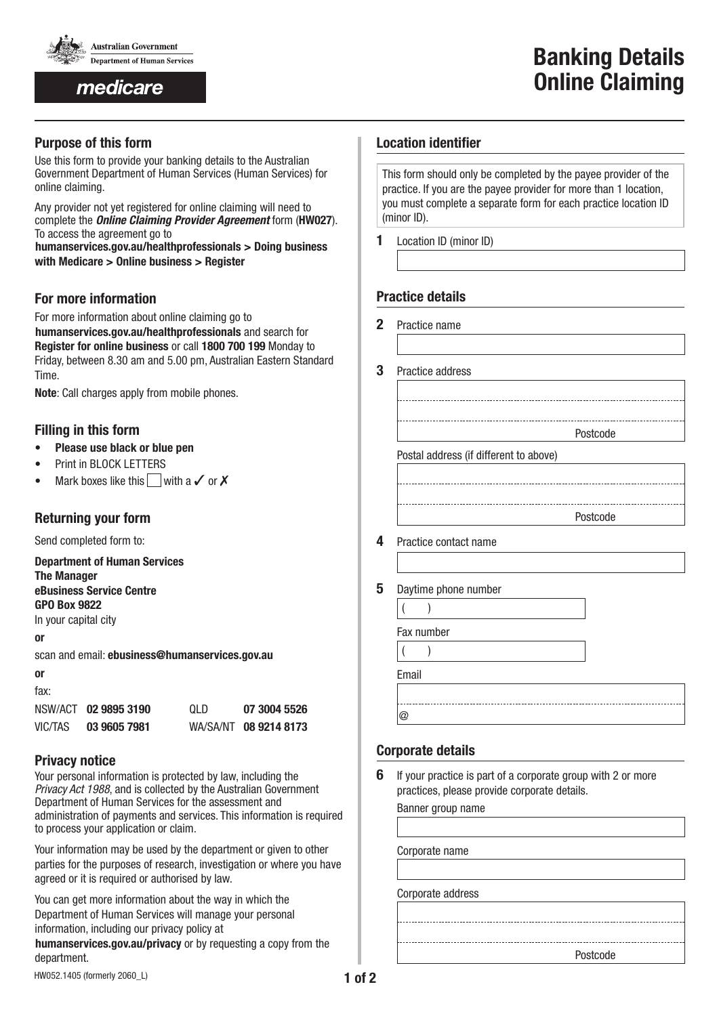

medicare

## **Purpose of this form**

Use this form to provide your banking details to the Australian Government Department of Human Services (Human Services) for online claiming.

Any provider not yet registered for online claiming will need to complete the *Online Claiming Provider Agreement* form (**HW027**). To access the agreement go to

www.**humanservices.gov.au/healthprofessionals > Doing business with Medicare > Online business > Register**

# **For more information**

For more information about online claiming go to humanservices.gov.au/healthprofessionals and search for **Register for online business** or call **1800 700 199** Monday to Friday, between 8.30 am and 5.00 pm, Australian Eastern Standard Time.

**Note:** Call charges apply from mobile phones.

# **Filling in this form**

- **Please use black or blue pen**
- Print in BLOCK LETTERS
- Mark boxes like this with a  $\checkmark$  or  $\checkmark$

# **Returning your form**

Send completed form to:

**Department of Human Services The Manager eBusiness Service Centre**

**GPO Box 9822**

In your capital city

### **or**

scan and email: **ebusiness@humanservices.gov.au**

#### **or** fax:

| iun.    |                      |      |                       |
|---------|----------------------|------|-----------------------|
|         | NSW/ACT 02 9895 3190 | 0I D | 07 3004 5526          |
| VIC/TAS | 03 9605 7981         |      | WA/SA/NT 08 9214 8173 |

## **Privacy notice**

Your personal information is protected by law, including the *Privacy Act 1988*, and is collected by the Australian Government Department of Human Services for the assessment and administration of payments and services. This information is required to process your application or claim.

Your information may be used by the department or given to other parties for the purposes of research, investigation or where you have agreed or it is required or authorised by law.

You can get more information about the way in which the Department of Human Services will manage your personal information, including our privacy policy at

humanservices.gov.au/privacy or by requesting a copy from the department.

This form should only be completed by the payee provider of the practice. If you are the payee provider for more than 1 location, you must complete a separate form for each practice location ID (minor ID).

**1** Location ID (minor ID)

## **Practice details**

- **2** Practice name
	-
- **3** Practice address

Postcode

Postal address (if different to above)

Postcode

- **4** Practice contact name
- **5** Daytime phone number

| Fax number |  |  |  |  |  |
|------------|--|--|--|--|--|
|            |  |  |  |  |  |

 $($  ) Email @

# **Corporate details**

**6** If your practice is part of a corporate group with 2 or more practices, please provide corporate details.

Banner group name

Corporate name

Corporate address

Postcode